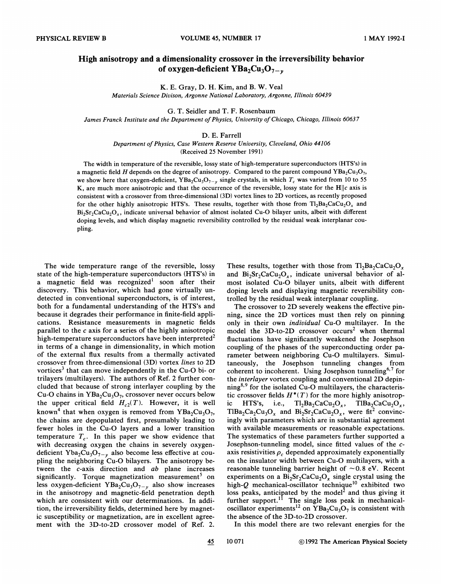## High anisotropy and a dimensionality crossover in the irreversibility behavior of oxygen-deficient  $YBa<sub>2</sub>Cu<sub>3</sub>O<sub>7-y</sub>$

K. E. Gray, D. H. Kim, and B.W. Veal Materials Science Divison, Argonne National Laboratory, Argonne, Illinois 60439

G. T. Seidler and T. F. Rosenbaum

James Franck Institute and the Department of Physics, Uniuersity of Chicago, Chicago, Illinois 60637

## D. E. Farrell

Department of Physics, Case Western Reserue Uniuersity, Cleueland, Ohio 44I06 (Received 25 November 1991)

The width in temperature of the reversible, lossy state of high-temperature superconductors (HTS s) in a magnetic field H depends on the degree of anisotropy. Compared to the parent compound  $YBa_2Cu_3O_7$ , we show here that oxygen-deficient,  $YBa_2Cu_3O_{7-y}$  single crystals, in which  $T_c$  was varied from 10 to 55 K, are much more anisotropic and that the occurrence of the reversible, lossy state for the H $||c$  axis is consistent with a crossover from three-dimensional (3D) vortex lines to 2D vortices, as recently proposed for the other highly anisotropic HTS's. These results, together with those from  $T_{12}Ba_2CaCu_2O_x$  and Bi<sub>2</sub>Sr<sub>2</sub>CaCu<sub>2</sub>O<sub>x</sub>, indicate universal behavior of almost isolated Cu-O bilayer units, albeit with different doping levels, and which display magnetic reversibility controlled by the residual weak interplanar coupling.

The wide temperature range of the reversible, lossy state of the high-temperature superconductors (HTS's) in a magnetic field was recognized soon after their discovery. This behavior, which had gone virtually undetected in conventional superconductors, is of interest, both for a fundamental understanding of the HTS's and because it degrades their performance in finite-field applications. Resistance measurements in magnetic fields parallel to the c axis for a series of the highly anisotropic high-temperature superconductors have been interpreted<sup>2</sup> in terms of a change in dimensionality, in which motion of the external flux results from a thermally activated crossover from three-dimensional (3D) vortex lines to 2D vortices<sup>3</sup> that can move independently in the Cu-O bi- or trilayers (multilayers). The authors of Ref. 2 further concluded that because of strong interlayer coupling by the Cu-O chains in  $YBa<sub>2</sub>Cu<sub>3</sub>O<sub>7</sub>$ , crossover never occurs below the upper critical field  $H_{c2}(T)$ . However, it is well known<sup>4</sup> that when oxygen is removed from YBa<sub>2</sub>Cu<sub>3</sub>O<sub>7</sub>, the chains are depopulated first, presumably leading to fewer holes in the Cu-0 layers and a lower transition temperature  $T_c$ . In this paper we show evidence that with decreasing oxygen the chains in severely oxygendeficient  $Yba_2Cu_3O_{7-y}$  also become less effective at coupling the neighboring Cu-0 bilayers. The anisotropy between the c-axis direction and ab plane increases significantly. Torque magnetization measurement<sup>5</sup> on less oxygen-deficient  $YBa<sub>2</sub>Cu<sub>3</sub>O<sub>7-y</sub>$  also show increase in the anisotropy and magnetic-field penetration depth which are consistent with our determinations. In addition, the irreversibility fields, determined here by magnetic susceptibility or magnetization, are in excellent agreement with the 3D-to-2D crossover model of Ref. 2.

These results, together with those from  $Tl_2Ba_2CaCu_2O_x$ and  $Bi_2Sr_2CaCu_2O_x$ , indicate universal behavior of almost isolated Cu-0 bilayer units, albeit with different doping levels and displaying magnetic reversibility controlled by the residual weak interplanar coupling.

The crossover to 2D severely weakens the effective pinning, since the 2D vortices must then rely on pinning only in their own individual Cu-0 multilayer. In the model the 3D-to-2D crossover occurs<sup>2</sup> when thermal fluctuations have significantly weakened the Josephson coupling of the phases of the superconducting order parameter between neighboring Cu-0 multilayers. Simultaneously, the Josephson tunneling changes from coherent to incoherent. Using Josephson tunneling<sup>6,7</sup> for the interlayer vortex coupling and conventional 2D depinning<sup>8,9</sup> for the isolated Cu-O multilayers, the characteris tic crossover fields  $H^*(T)$  for the more highly anisotropic HTS's, i.e.,  $Tl_2Ba_2CaCu_2O_x$ ,  $TlBa_2CaCu_2O_x$ ,  $T1Ba_2Ca_2Cu_3O_x$  and  $Bi_2Sr_2CaCu_2O_x$ , were fit<sup>2</sup> convincingly with parameters which are in substantial agreement with available measurements or reasonable expectations. The systematics of these parameters further supported a Josephson-tunneling model, since fitted values of the caxis resistivities  $\rho_c$  depended approximately exponentially on the insulator width between Cu-0 multilayers, with a reasonable tunneling barrier height of  $\sim 0.8$  eV. Recent experiments on a  $Bi<sub>2</sub>Sr<sub>2</sub>CaCu<sub>2</sub>O<sub>r</sub>$  single crystal using the high- $Q$  mechanical-oscillator technique<sup>10</sup> exhibited two loss peaks, anticipated by the model<sup>2</sup> and thus giving it further support.<sup>11</sup> The single loss peak in mechanicalfurther support.<sup>11</sup> The single loss peak in mechanica oscillator experiments<sup>12</sup> on YBa<sub>2</sub>Cu<sub>3</sub>O<sub>7</sub> is consistent with the absence of the 3D-to-2D crossover.

In this model there are two relevant energies for the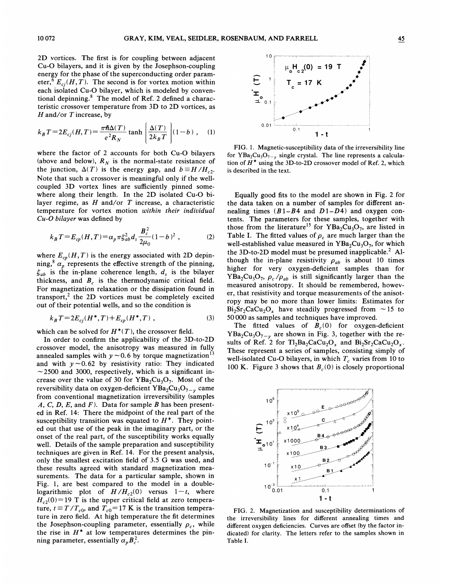2D vortices. The first is for coupling between adjacent Cu-0 bilayers, and it is given by the Josephson-coupling energy for the phase of the superconducting order parameter,  $E_{ci}(H,T)$ . The second is for vortex motion within each isolated Cu-0 bilayer, which is modeled by conventional depinning. $8$  The model of Ref. 2 defined a characteristic crossover temperature from 3D to 2D vortices, as  $H$  and/or  $T$  increase, by

$$
k_B T = 2E_{cj}(H, T) = \frac{\pi \hbar \Delta(T)}{e^2 R_N} \tanh\left(\frac{\Delta(T)}{2k_B T}\right) (1 - b) , \quad (1)
$$

where the factor of 2 accounts for both Cu-O bilayers (above and below),  $R_N$  is the normal-state resistance of the junction,  $\Delta(T)$  is the energy gap, and  $b \equiv H/H_{c2}$ . Note that such a crossover is meaningful only if the wellcoupled 3D vortex lines are sufficiently pinned somewhere along their length. In the 2D isolated Cu-O bilayer regime, as  $H$  and/or  $T$  increase, a characteristic temperature for vortex motion within their individual Cu-0 bilayer was defined by

$$
k_B T = E_{cp}(H, T) = \alpha_p \pi \xi_{ab}^2 d_s \frac{B_c^2}{2\mu_0} (1 - b)^2 ,
$$
 (2)

where  $E_{cp}(H, T)$  is the energy associated with 2D depinning,<sup>8</sup>  $\alpha$ <sub>n</sub> represents the effective strength of the pinning,  $\xi_{ab}$  is the in-plane coherence length,  $d_s$  is the bilayer thickness, and  $B<sub>c</sub>$  is the thermodynamic critical field. For magnetization relaxation or the dissipation found in transport, $2$  the 2D vortices must be completely excited out of their potential wells, and so the condition is

$$
k_B T = 2E_{cj}(H^*, T) + E_{cp}(H^*, T) ,
$$
 (3)

which can be solved for  $H^*(T)$ , the crossover field.

In order to confirm the applicability of the 3D-to-2D crossover model, the anisotropy was measured in fully crossover moder, the amsology was measured in R<br>annealed samples with  $y \sim 0.6$  by torque magnetization and with  $y \sim 0.62$  by resistivity ratio: They indicated  $\sim$  2500 and 3000, respectively, which is a significant increase over the value of 30 for  $YBa_2Cu_3O_7$ . Most of the reversibility data on oxygen-deficient  ${\rm YBa_{2}Cu_{3}O_{7-y}}$  came from conventional magnetization irreversibility (samples A, C, D, E, and F). Data for sample B has been presented in Ref. 14: There the midpoint of the real part of the susceptibility transition was equated to  $H^*$ . They pointed out that use of the peak in the imaginary part, or the onset of the real part, of the susceptibility works equally well. Details of the sample preparation and susceptibility techniques are given in Ref. 14. For the present analysis, only the smallest excitation field of 3.<sup>5</sup> 6 was used, and these results agreed with standard magnetization measurements. The data for a particular sample, shown in Fig. 1, are best compared to the model in a doublelogarithmic plot of  $H/H_{c2}(0)$  versus  $1-t$ , where  $H_{c2}(0)$ =19 T is the upper critical field at zero temperature,  $t \equiv T/T_{c0}$ , and  $T_{c0} = 17$  K is the transition temperature in zero field. At high temperature the fit determines the Josephson-coupling parameter, essentially  $\rho_c$ , while the rise in  $H^*$  at low temperatures determines the pinning parameter, essentially  $\alpha_n B_c^2$ .



FIG. 1. Magnetic-susceptibility data of the irreversibility line for  $YBa<sub>2</sub>Cu<sub>3</sub>O<sub>7-y</sub>$  single crystal. The line represents a calcula tion of  $H^*$  using the 3D-to-2D crossover model of Ref. 2, which is described in the text.

Equally good fits to the model are shown in Fig. 2 for the data taken on a number of samples for different annealing times  $(B1 - B4$  and  $D1 - D4$ ) and oxygen contents. The parameters for these samples, together with those from the literature<sup>15</sup> for YBa<sub>2</sub>Cu<sub>3</sub>O<sub>7</sub>, are listed in Table I. The fitted values of  $\rho_c$  are much larger than the well-established value measured in  $YBa<sub>2</sub>Cu<sub>3</sub>O<sub>7</sub>$ , for which the  $3D$ -to-2D model must be presumed inapplicable.<sup>2</sup> Although the in-plane resistivity  $\rho_{ab}$  is about 10 times higher for very oxygen-deficient samples than for  $YBa<sub>2</sub>Cu<sub>3</sub>O<sub>7</sub>$ ,  $\rho_c/\rho_{ab}$  is still significantly larger than the measured anisotropy. It should be remembered, however, that resistivity and torque measurements of the anisotropy may be no more than lower limits: Estimates for  $Bi_2Sr_2CaCu_2O_1$  have steadily progressed from  $\sim 15$  to 50000 as samples and techniques have improved.

The fitted values of  $B<sub>c</sub>(0)$  for oxygen-deficient  $YBa<sub>2</sub>Cu<sub>3</sub>O<sub>7-y</sub>$  are shown in Fig. 3, together with the results of Ref. 2 for Tl<sub>2</sub>Ba<sub>2</sub>CaCu<sub>2</sub>O<sub>x</sub> and Bi<sub>2</sub>Sr<sub>2</sub>CaCu<sub>2</sub>O<sub>x</sub>. These represent a series of samples, consisting simply of well-isolated Cu-O bilayers, in which  $T_c$  varies from 10 to 100 K. Figure 3 shows that  $B_c(0)$  is closely proportional



FIG. 2. Magnetization and susceptibility determinations of the irreversibility lines for different annealing times and different oxygen deficiencies. Curves are offset (by the factor indicated) for clarity. The letters refer to the samples shown in Table I.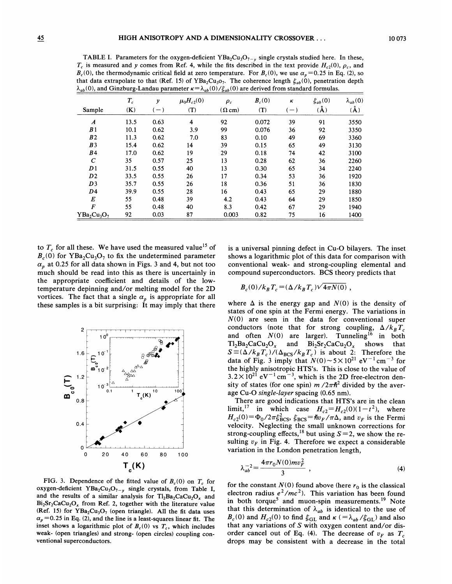TABLE I. Parameters for the oxygen-deficient  $YBa<sub>2</sub>Cu<sub>3</sub>O<sub>7-y</sub>$  single crystals studied here. In these  $T_c$  is measured and y comes from Ref. 4, while the fits described in the text provide  $H_{c2}(0)$ ,  $\rho_c$ , and  $B_c(0)$ , the thermodynamic critical field at zero temperature. For  $B_c(0)$ , we use  $\alpha_p = 0.25$  in Eq. (2), so that data extrapolate to that (Ref. 15) of YBa<sub>2</sub>Cu<sub>3</sub>o<sub>7</sub>. The coherence length  $\xi_{ab}(0)$ , penetration depth  $\lambda_{ab}(0)$ , and Ginzburg-Landau parameter  $\kappa = \lambda_{ab}(0)/\xi_{ab}(0)$  are derived from standard formulas.

|                  | $T_c$ | y     | $\mu_0 H_{c2}(0)$ | $\rho_c$      | $B_c(0)$ | κ     | $\xi_{ab}(0)$  | $\lambda_{ab}(0)$ |
|------------------|-------|-------|-------------------|---------------|----------|-------|----------------|-------------------|
| Sample           | (K)   | $(-)$ | (T)               | $(\Omega$ cm) | (T)      | $(-)$ | $\mathring{A}$ | $(\AA)$           |
| $\boldsymbol{A}$ | 13.5  | 0.63  | 4                 | 92            | 0.072    | 39    | 91             | 3550              |
| B1               | 10.1  | 0.62  | 3.9               | 99            | 0.076    | 36    | 92             | 3350              |
| B <sub>2</sub>   | 11.3  | 0.62  | 7.0               | 83            | 0.10     | 49    | 69             | 3360              |
| B <sub>3</sub>   | 15.4  | 0.62  | 14                | 39            | 0.15     | 65    | 49             | 3130              |
| B4               | 17.0  | 0.62  | 19                | 29            | 0.18     | 74    | 42             | 3100              |
| $\boldsymbol{C}$ | 35    | 0.57  | 25                | 13            | 0.28     | 62    | 36             | 2260              |
| D1               | 31.5  | 0.55  | 40                | 13            | 0.30     | 65    | 34             | 2240              |
| D <sub>2</sub>   | 33.5  | 0.55  | 26                | 17            | 0.34     | 53    | 36             | 1920              |
| D <sub>3</sub>   | 35.7  | 0.55  | 26                | 18            | 0.36     | 51    | 36             | 1830              |
| D <sub>4</sub>   | 39.9  | 0.55  | 28                | 16            | 0.43     | 65    | 29             | 1880              |
| E                | 55    | 0.48  | 39                | 4.2           | 0.43     | 64    | 29             | 1850              |
| $\boldsymbol{F}$ | 55    | 0.48  | 40                | 8.3           | 0.42     | 67    | 29             | 1940              |
| $YBa_2Cu_3O_7$   | 92    | 0.03  | 87                | 0.003         | 0.82     | 75    | 16             | 1400              |

to  $T_c$  for all these. We have used the measured value<sup>15</sup> of  $B_c(0)$  for YBa<sub>2</sub>Cu<sub>3</sub>O<sub>7</sub> to fix the undetermined parameter  $\alpha_p$  at 0.25 for all data shown in Figs. 3 and 4, but not too much should be read into this as there is uncertainly in the appropriate coefficient and details of the lowtemperature depinning and/or melting model for the 2D vortices. The fact that a single  $\alpha_p$  is appropriate for all these samples is a bit surprising: It may imply that there



FIG. 3. Dependence of the fitted value of  $B<sub>c</sub>(0)$  on  $T<sub>c</sub>$  for oxygen-deficient  $YBa<sub>2</sub>Cu<sub>3</sub>O<sub>7-y</sub>$  single crystals, from Table I, and the results of a similar analysis for  $Tl_2Ba_2CaCu_2O_x$  and  $Bi_2Sr_2CaCu_2O_x$  from Ref. 2, together with the literature value (Ref. 15) for  $YBa<sub>2</sub>Cu<sub>3</sub>O<sub>7</sub>$  (open triangle). All the fit data uses  $\alpha_p$  = 0.25 in Eq. (2), and the line is a least-squares linear fit. The inset shows a logarithmic plot of  $B_c(0)$  vs  $T_c$ , which includes weak- (open triangles) and strong- (open circles) coupling conventional superconductors.

is a universal pinning defect in Cu-0 bilayers. The inset shows a logarithmic plot of this data for comparison with conventional weak- and strong-coupling elemental and compound superconductors. BCS theory predicts that

$$
B_c(0)/k_B T_c = (\Delta / k_B T_c) \sqrt{4 \pi N(0)}
$$
,

where  $\Delta$  is the energy gap and  $N(0)$  is the density of states of one spin at the Fermi energy. The variations in  $N(0)$  are seen in the data for conventional super conductors (note that for strong coupling,  $\Delta/k_B T_c$ and often  $N(0)$  are larger). Tunneling<sup>16</sup> in both  $Tl_2Ba_2CaCu_2O_x$  and  $Bi_2Sr_2CaCu_2O_x$  shows that  $S = (\Delta / k_B T_c) / (\Delta_{BCS} / k_B T_c)$  is about 2: Therefore the data of Fig. 3 imply that  $N(0) \sim 5 \times 10^{21}$  eV<sup>-1</sup> cm<sup>-3</sup> for the highly anisotropic HTS's. This is close to the value of  $3.2 \times 10^{21}$  eV<sup>-1</sup> cm<sup>-3</sup>, which is the 2D free-electron density of states (for one spin)  $m/2\pi\hbar^2$  divided by the average Cu-O single-layer spacing (0.65 nm).

There are good indications that HTS's are in the clean limit,<sup>17</sup> in which case  $H_{c2} = H_{c2}(0)(1-t^2)$ , where  $H_{c2}(0) = \Phi_0/2\pi \xi_{BCS}^2$ ,  $\xi_{BCS} = \hbar v_F/\pi \Delta$ , and  $v_F$  is the Ferm velocity. Neglecting the small unknown corrections for strong-coupling effects,<sup>18</sup> but using  $S=2$ , we show the resulting  $v_F$  in Fig. 4. Therefore we expect a considerable variation in the London penetration length,

$$
\lambda_{ab}^{-2} = \frac{4\pi r_0 N(0) m v_F^2}{3} \tag{4}
$$

for the constant  $N(0)$  found above (here  $r_0$  is the classical electron radius  $e^2/mc^2$ ). This variation has been found in both torque<sup>5</sup> and muon-spin measurements.<sup>19</sup> Note that this determination of  $\lambda_{ab}$  is identical to the use of  $B_c(0)$  and  $H_{c2}(0)$  to find  $\xi_{\text{GL}}$  and  $\kappa$  (=  $\lambda_{ab}/\xi_{\text{GL}}$ ) and also that any variations of S with oxygen content and/or disorder cancel out of Eq. (4). The decrease of  $v_F$  as  $T_c$ drops may be consistent with a decrease in the total